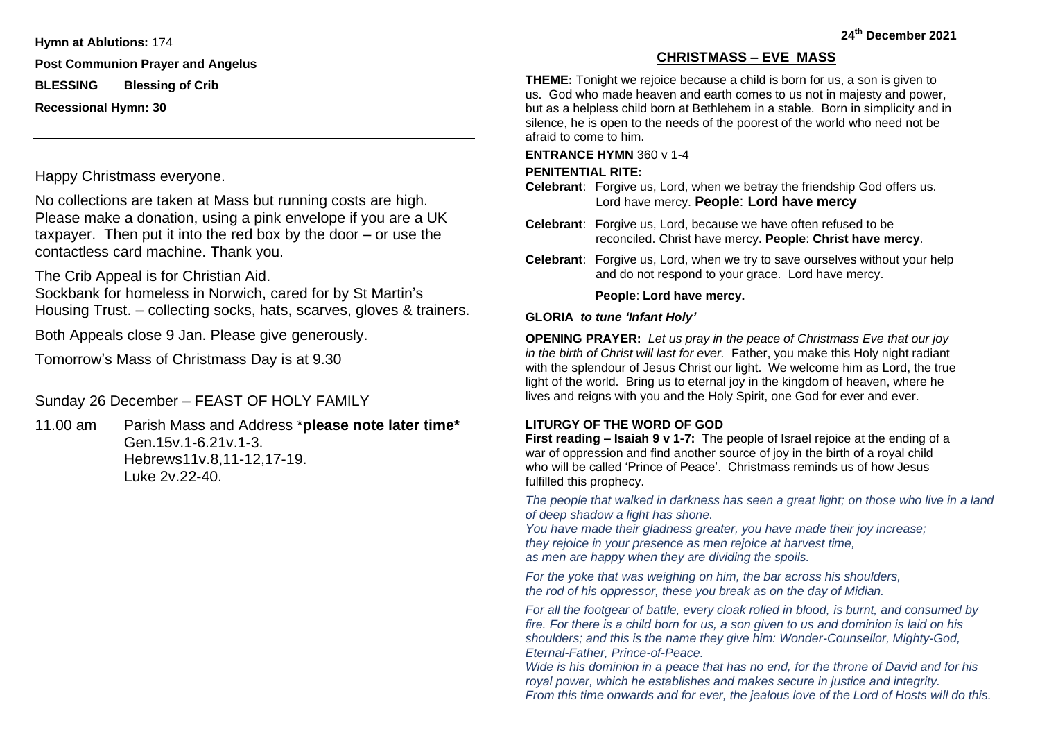**Hymn at Ablutions:** 174

**Post Communion Prayer and Angelus**

**BLESSING Blessing of Crib**

**Recessional Hymn: 30**

Happy Christmass everyone.

No collections are taken at Mass but running costs are high. Please make a donation, using a pink envelope if you are a UK taxpayer. Then put it into the red box by the door – or use the contactless card machine. Thank you.

The Crib Appeal is for Christian Aid.

Sockbank for homeless in Norwich, cared for by St Martin's Housing Trust. – collecting socks, hats, scarves, gloves & trainers.

Both Appeals close 9 Jan. Please give generously.

Tomorrow's Mass of Christmass Day is at 9.30

# Sunday 26 December – FEAST OF HOLY FAMILY

11.00 am Parish Mass and Address \***please note later time\*** Gen.15v.1-6.21v.1-3. Hebrews11v.8,11-12,17-19. Luke 2v.22-40.

# **CHRISTMASS – EVE MASS**

**THEME:** Tonight we rejoice because a child is born for us, a son is given to us. God who made heaven and earth comes to us not in majesty and power, but as a helpless child born at Bethlehem in a stable. Born in simplicity and in silence, he is open to the needs of the poorest of the world who need not be afraid to come to him.

## **ENTRANCE HYMN** 360 v 1-4

# **PENITENTIAL RITE:**

**Celebrant**: Forgive us, Lord, when we betray the friendship God offers us. Lord have mercy. **People**: **Lord have mercy**

- **Celebrant**: Forgive us, Lord, because we have often refused to be reconciled. Christ have mercy. **People**: **Christ have mercy**.
- **Celebrant**: Forgive us, Lord, when we try to save ourselves without your help and do not respond to your grace. Lord have mercy.

# **People**: **Lord have mercy.**

# **GLORIA** *to tune 'Infant Holy'*

**OPENING PRAYER:** *Let us pray in the peace of Christmass Eve that our joy in the birth of Christ will last for ever.* Father, you make this Holy night radiant with the splendour of Jesus Christ our light. We welcome him as Lord, the true light of the world. Bring us to eternal joy in the kingdom of heaven, where he lives and reigns with you and the Holy Spirit, one God for ever and ever.

# **LITURGY OF THE WORD OF GOD**

**First reading – Isaiah 9 v 1-7:** The people of Israel rejoice at the ending of a war of oppression and find another source of joy in the birth of a royal child who will be called 'Prince of Peace'. Christmass reminds us of how Jesus fulfilled this prophecy.

*The people that walked in darkness has seen a great light; on those who live in a land of deep shadow a light has shone.*

*You have made their gladness greater, you have made their joy increase; they rejoice in your presence as men rejoice at harvest time, as men are happy when they are dividing the spoils.*

*For the yoke that was weighing on him, the bar across his shoulders, the rod of his oppressor, these you break as on the day of Midian.*

*For all the footgear of battle, every cloak rolled in blood, is burnt, and consumed by fire. For there is a child born for us, a son given to us and dominion is laid on his shoulders; and this is the name they give him: Wonder-Counsellor, Mighty-God, Eternal-Father, Prince-of-Peace.*

*Wide is his dominion in a peace that has no end, for the throne of David and for his royal power, which he establishes and makes secure in justice and integrity. From this time onwards and for ever, the jealous love of the Lord of Hosts will do this.*